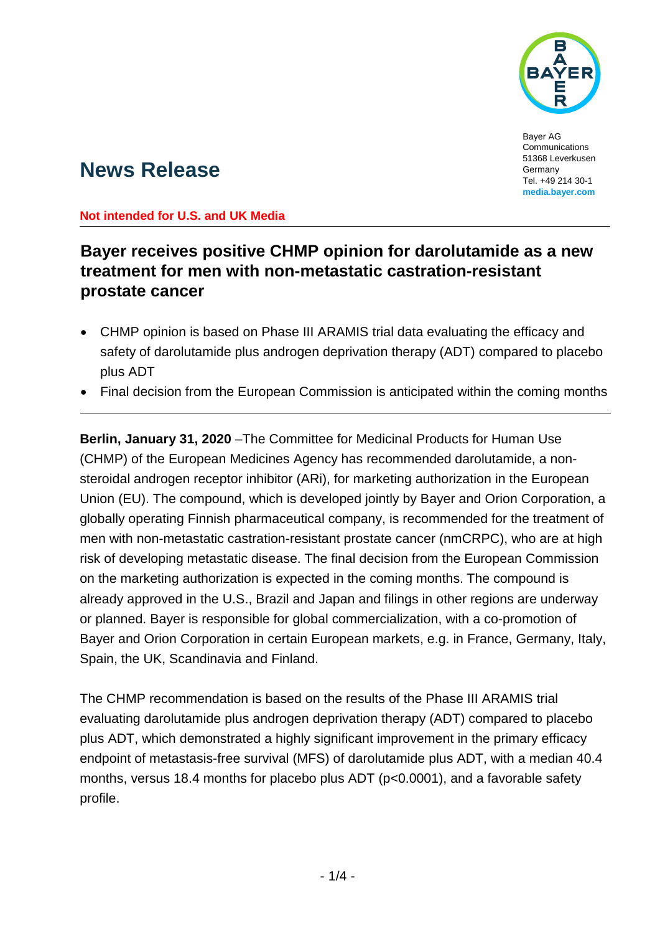

Bayer AG **Communications** 51368 Leverkusen Germany Tel. +49 214 30-1 **media.bayer.com**

# **News Release**

### **Not intended for U.S. and UK Media**

## **Bayer receives positive CHMP opinion for darolutamide as a new treatment for men with non-metastatic castration-resistant prostate cancer**

- CHMP opinion is based on Phase III ARAMIS trial data evaluating the efficacy and safety of darolutamide plus androgen deprivation therapy (ADT) compared to placebo plus ADT
- Final decision from the European Commission is anticipated within the coming months

**Berlin, January 31, 2020** –The Committee for Medicinal Products for Human Use (CHMP) of the European Medicines Agency has recommended darolutamide, a nonsteroidal androgen receptor inhibitor (ARi), for marketing authorization in the European Union (EU). The compound, which is developed jointly by Bayer and Orion Corporation, a globally operating Finnish pharmaceutical company, is recommended for the treatment of men with non-metastatic castration-resistant prostate cancer (nmCRPC), who are at high risk of developing metastatic disease. The final decision from the European Commission on the marketing authorization is expected in the coming months. The compound is already approved in the U.S., Brazil and Japan and filings in other regions are underway or planned. Bayer is responsible for global commercialization, with a co-promotion of Bayer and Orion Corporation in certain European markets, e.g. in France, Germany, Italy, Spain, the UK, Scandinavia and Finland.

The CHMP recommendation is based on the results of the Phase III ARAMIS trial evaluating darolutamide plus androgen deprivation therapy (ADT) compared to placebo plus ADT, which demonstrated a highly significant improvement in the primary efficacy endpoint of metastasis-free survival (MFS) of darolutamide plus ADT, with a median 40.4 months, versus 18.4 months for placebo plus ADT (p<0.0001), and a favorable safety profile.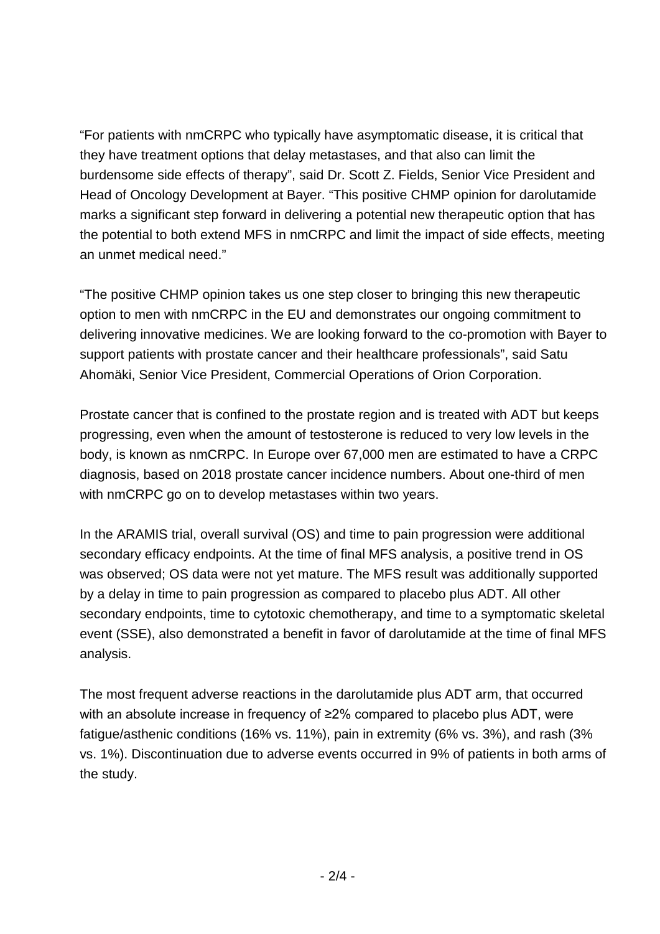"For patients with nmCRPC who typically have asymptomatic disease, it is critical that they have treatment options that delay metastases, and that also can limit the burdensome side effects of therapy", said Dr. Scott Z. Fields, Senior Vice President and Head of Oncology Development at Bayer. "This positive CHMP opinion for darolutamide marks a significant step forward in delivering a potential new therapeutic option that has the potential to both extend MFS in nmCRPC and limit the impact of side effects, meeting an unmet medical need."

"The positive CHMP opinion takes us one step closer to bringing this new therapeutic option to men with nmCRPC in the EU and demonstrates our ongoing commitment to delivering innovative medicines. We are looking forward to the co-promotion with Bayer to support patients with prostate cancer and their healthcare professionals", said Satu Ahomäki, Senior Vice President, Commercial Operations of Orion Corporation.

Prostate cancer that is confined to the prostate region and is treated with ADT but keeps progressing, even when the amount of testosterone is reduced to very low levels in the body, is known as nmCRPC. In Europe over 67,000 men are estimated to have a CRPC diagnosis, based on 2018 prostate cancer incidence numbers. About one-third of men with nmCRPC go on to develop metastases within two years.

In the ARAMIS trial, overall survival (OS) and time to pain progression were additional secondary efficacy endpoints. At the time of final MFS analysis, a positive trend in OS was observed; OS data were not yet mature. The MFS result was additionally supported by a delay in time to pain progression as compared to placebo plus ADT. All other secondary endpoints, time to cytotoxic chemotherapy, and time to a symptomatic skeletal event (SSE), also demonstrated a benefit in favor of darolutamide at the time of final MFS analysis.

The most frequent adverse reactions in the darolutamide plus ADT arm, that occurred with an absolute increase in frequency of ≥2% compared to placebo plus ADT, were fatigue/asthenic conditions (16% vs. 11%), pain in extremity (6% vs. 3%), and rash (3% vs. 1%). Discontinuation due to adverse events occurred in 9% of patients in both arms of the study.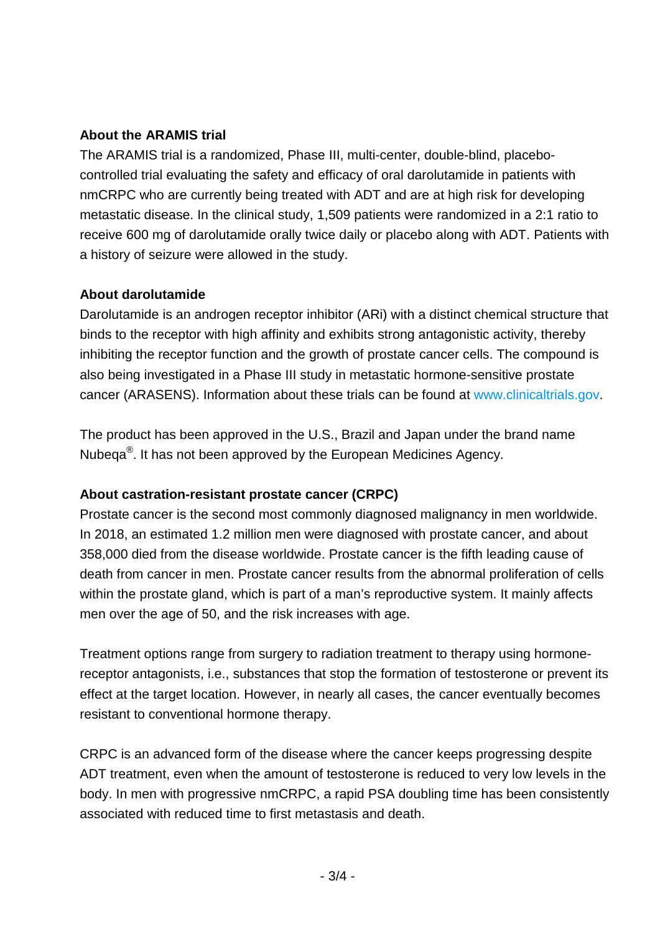### **About the ARAMIS trial**

The ARAMIS trial is a randomized, Phase III, multi-center, double-blind, placebocontrolled trial evaluating the safety and efficacy of oral darolutamide in patients with nmCRPC who are currently being treated with ADT and are at high risk for developing metastatic disease. In the clinical study, 1,509 patients were randomized in a 2:1 ratio to receive 600 mg of darolutamide orally twice daily or placebo along with ADT. Patients with a history of seizure were allowed in the study.

#### **About darolutamide**

Darolutamide is an androgen receptor inhibitor (ARi) with a distinct chemical structure that binds to the receptor with high affinity and exhibits strong antagonistic activity, thereby inhibiting the receptor function and the growth of prostate cancer cells. The compound is also being investigated in a Phase III study in metastatic hormone-sensitive prostate cancer (ARASENS). Information about these trials can be found at [www.clinicaltrials.gov.](https://www.clinicaltrials.gov/)

The product has been approved in the U.S., Brazil and Japan under the brand name Nubeqa®. It has not been approved by the European Medicines Agency.

## **About castration-resistant prostate cancer (CRPC)**

Prostate cancer is the second most commonly diagnosed malignancy in men worldwide. In 2018, an estimated 1.2 million men were diagnosed with prostate cancer, and about 358,000 died from the disease worldwide. Prostate cancer is the fifth leading cause of death from cancer in men. Prostate cancer results from the abnormal proliferation of cells within the prostate gland, which is part of a man's reproductive system. It mainly affects men over the age of 50, and the risk increases with age.

Treatment options range from surgery to radiation treatment to therapy using hormonereceptor antagonists, i.e., substances that stop the formation of testosterone or prevent its effect at the target location. However, in nearly all cases, the cancer eventually becomes resistant to conventional hormone therapy.

CRPC is an advanced form of the disease where the cancer keeps progressing despite ADT treatment, even when the amount of testosterone is reduced to very low levels in the body. In men with progressive nmCRPC, a rapid PSA doubling time has been consistently associated with reduced time to first metastasis and death.